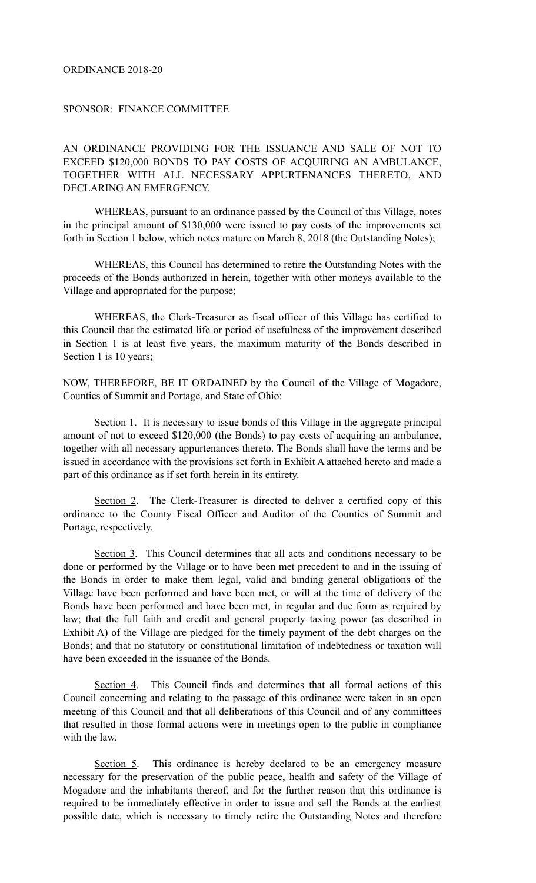## ORDINANCE 2018-20

## SPONSOR: FINANCE COMMITTEE

AN ORDINANCE PROVIDING FOR THE ISSUANCE AND SALE OF NOT TO EXCEED \$120,000 BONDS TO PAY COSTS OF ACQUIRING AN AMBULANCE, TOGETHER WITH ALL NECESSARY APPURTENANCES THERETO, AND DECLARING AN EMERGENCY.

WHEREAS, pursuant to an ordinance passed by the Council of this Village, notes in the principal amount of \$130,000 were issued to pay costs of the improvements set forth in Section 1 below, which notes mature on March 8, 2018 (the Outstanding Notes);

 WHEREAS, this Council has determined to retire the Outstanding Notes with the proceeds of the Bonds authorized in herein, together with other moneys available to the Village and appropriated for the purpose;

 WHEREAS, the Clerk-Treasurer as fiscal officer of this Village has certified to this Council that the estimated life or period of usefulness of the improvement described in Section 1 is at least five years, the maximum maturity of the Bonds described in Section 1 is 10 years;

NOW, THEREFORE, BE IT ORDAINED by the Council of the Village of Mogadore, Counties of Summit and Portage, and State of Ohio:

Section 1. It is necessary to issue bonds of this Village in the aggregate principal amount of not to exceed \$120,000 (the Bonds) to pay costs of acquiring an ambulance, together with all necessary appurtenances thereto. The Bonds shall have the terms and be issued in accordance with the provisions set forth in Exhibit A attached hereto and made a part of this ordinance as if set forth herein in its entirety.

Section 2. The Clerk-Treasurer is directed to deliver a certified copy of this ordinance to the County Fiscal Officer and Auditor of the Counties of Summit and Portage, respectively.

Section 3. This Council determines that all acts and conditions necessary to be done or performed by the Village or to have been met precedent to and in the issuing of the Bonds in order to make them legal, valid and binding general obligations of the Village have been performed and have been met, or will at the time of delivery of the Bonds have been performed and have been met, in regular and due form as required by law; that the full faith and credit and general property taxing power (as described in Exhibit A) of the Village are pledged for the timely payment of the debt charges on the Bonds; and that no statutory or constitutional limitation of indebtedness or taxation will have been exceeded in the issuance of the Bonds.

Section 4. This Council finds and determines that all formal actions of this Council concerning and relating to the passage of this ordinance were taken in an open meeting of this Council and that all deliberations of this Council and of any committees that resulted in those formal actions were in meetings open to the public in compliance with the law.

Section 5. This ordinance is hereby declared to be an emergency measure necessary for the preservation of the public peace, health and safety of the Village of Mogadore and the inhabitants thereof, and for the further reason that this ordinance is required to be immediately effective in order to issue and sell the Bonds at the earliest possible date, which is necessary to timely retire the Outstanding Notes and therefore